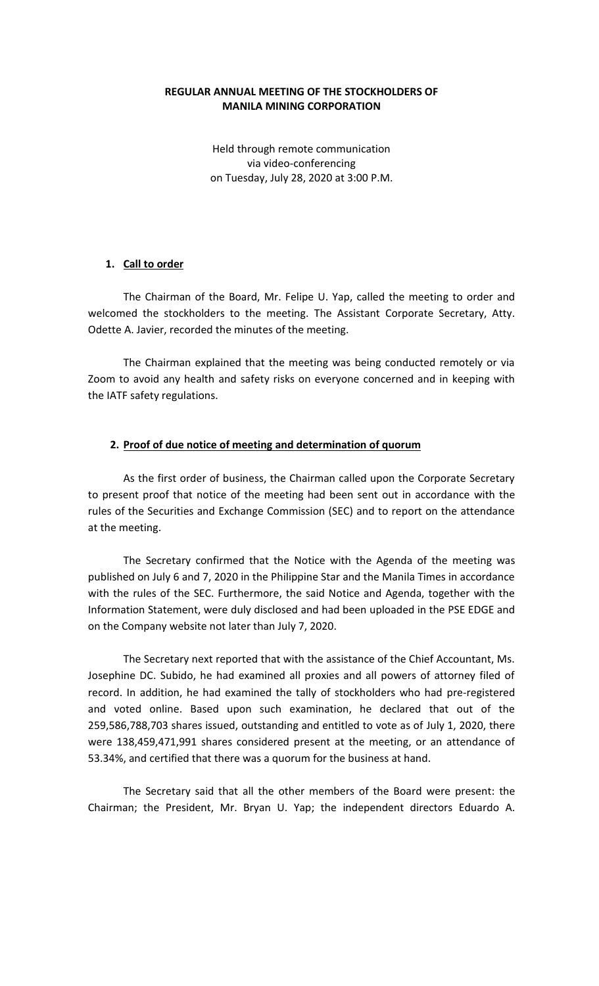### **REGULAR ANNUAL MEETING OF THE STOCKHOLDERS OF MANILA MINING CORPORATION**

Held through remote communication via video-conferencing on Tuesday, July 28, 2020 at 3:00 P.M.

### **1. Call to order**

The Chairman of the Board, Mr. Felipe U. Yap, called the meeting to order and welcomed the stockholders to the meeting. The Assistant Corporate Secretary, Atty. Odette A. Javier, recorded the minutes of the meeting.

The Chairman explained that the meeting was being conducted remotely or via Zoom to avoid any health and safety risks on everyone concerned and in keeping with the IATF safety regulations.

#### **2. Proof of due notice of meeting and determination of quorum**

As the first order of business, the Chairman called upon the Corporate Secretary to present proof that notice of the meeting had been sent out in accordance with the rules of the Securities and Exchange Commission (SEC) and to report on the attendance at the meeting.

The Secretary confirmed that the Notice with the Agenda of the meeting was published on July 6 and 7, 2020 in the Philippine Star and the Manila Times in accordance with the rules of the SEC. Furthermore, the said Notice and Agenda, together with the Information Statement, were duly disclosed and had been uploaded in the PSE EDGE and on the Company website not later than July 7, 2020.

The Secretary next reported that with the assistance of the Chief Accountant, Ms. Josephine DC. Subido, he had examined all proxies and all powers of attorney filed of record. In addition, he had examined the tally of stockholders who had pre-registered and voted online. Based upon such examination, he declared that out of the 259,586,788,703 shares issued, outstanding and entitled to vote as of July 1, 2020, there were 138,459,471,991 shares considered present at the meeting, or an attendance of 53.34%, and certified that there was a quorum for the business at hand.

The Secretary said that all the other members of the Board were present: the Chairman; the President, Mr. Bryan U. Yap; the independent directors Eduardo A.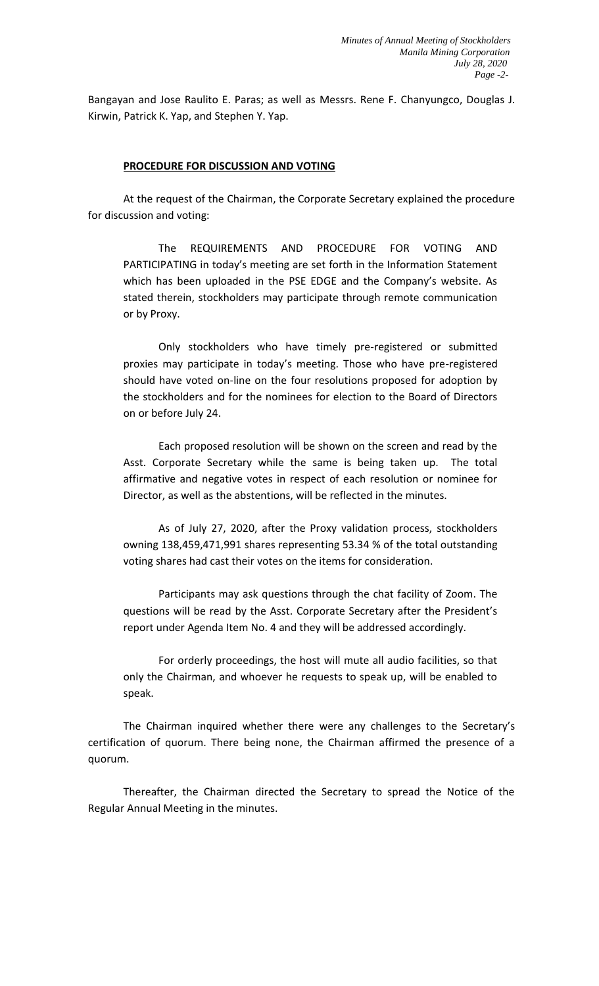Bangayan and Jose Raulito E. Paras; as well as Messrs. Rene F. Chanyungco, Douglas J. Kirwin, Patrick K. Yap, and Stephen Y. Yap.

#### **PROCEDURE FOR DISCUSSION AND VOTING**

At the request of the Chairman, the Corporate Secretary explained the procedure for discussion and voting:

The REQUIREMENTS AND PROCEDURE FOR VOTING AND PARTICIPATING in today's meeting are set forth in the Information Statement which has been uploaded in the PSE EDGE and the Company's website. As stated therein, stockholders may participate through remote communication or by Proxy.

Only stockholders who have timely pre-registered or submitted proxies may participate in today's meeting. Those who have pre-registered should have voted on-line on the four resolutions proposed for adoption by the stockholders and for the nominees for election to the Board of Directors on or before July 24.

Each proposed resolution will be shown on the screen and read by the Asst. Corporate Secretary while the same is being taken up. The total affirmative and negative votes in respect of each resolution or nominee for Director, as well as the abstentions, will be reflected in the minutes.

As of July 27, 2020, after the Proxy validation process, stockholders owning 138,459,471,991 shares representing 53.34 % of the total outstanding voting shares had cast their votes on the items for consideration.

Participants may ask questions through the chat facility of Zoom. The questions will be read by the Asst. Corporate Secretary after the President's report under Agenda Item No. 4 and they will be addressed accordingly.

For orderly proceedings, the host will mute all audio facilities, so that only the Chairman, and whoever he requests to speak up, will be enabled to speak.

The Chairman inquired whether there were any challenges to the Secretary's certification of quorum. There being none, the Chairman affirmed the presence of a quorum.

Thereafter, the Chairman directed the Secretary to spread the Notice of the Regular Annual Meeting in the minutes.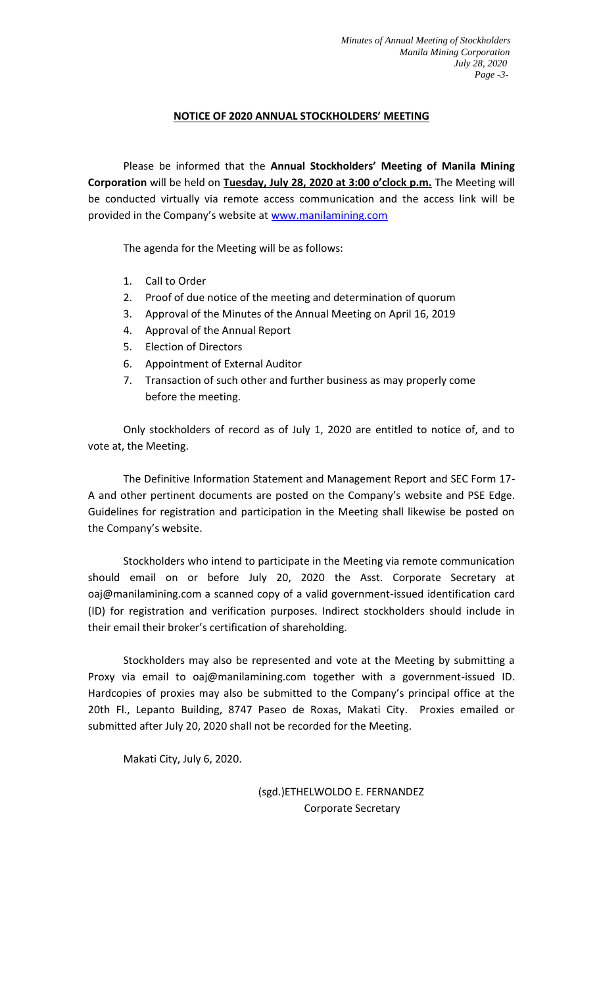# **NOTICE OF 2020 ANNUAL STOCKHOLDERS' MEETING**

Please be informed that the **Annual Stockholders' Meeting of Manila Mining Corporation** will be held on **Tuesday, July 28, 2020 at 3:00 o'clock p.m.** The Meeting will be conducted virtually via remote access communication and the access link will be provided in the Company's website at www.manilamining.com

The agenda for the Meeting will be as follows:

- 1. Call to Order
- 2. Proof of due notice of the meeting and determination of quorum
- 3. Approval of the Minutes of the Annual Meeting on April 16, 2019
- 4. Approval of the Annual Report
- 5. Election of Directors
- 6. Appointment of External Auditor
- 7. Transaction of such other and further business as may properly come before the meeting.

Only stockholders of record as of July 1, 2020 are entitled to notice of, and to vote at, the Meeting.

The Definitive Information Statement and Management Report and SEC Form 17- A and other pertinent documents are posted on the Company's website and PSE Edge. Guidelines for registration and participation in the Meeting shall likewise be posted on the Company's website.

Stockholders who intend to participate in the Meeting via remote communication should email on or before July 20, 2020 the Asst. Corporate Secretary at oaj@manilamining.com a scanned copy of a valid government-issued identification card (ID) for registration and verification purposes. Indirect stockholders should include in their email their broker's certification of shareholding.

Stockholders may also be represented and vote at the Meeting by submitting a Proxy via email to oaj@manilamining.com together with a government-issued ID. Hardcopies of proxies may also be submitted to the Company's principal office at the 20th Fl., Lepanto Building, 8747 Paseo de Roxas, Makati City. Proxies emailed or submitted after July 20, 2020 shall not be recorded for the Meeting.

Makati City, July 6, 2020.

 (sgd.)ETHELWOLDO E. FERNANDEZ Corporate Secretary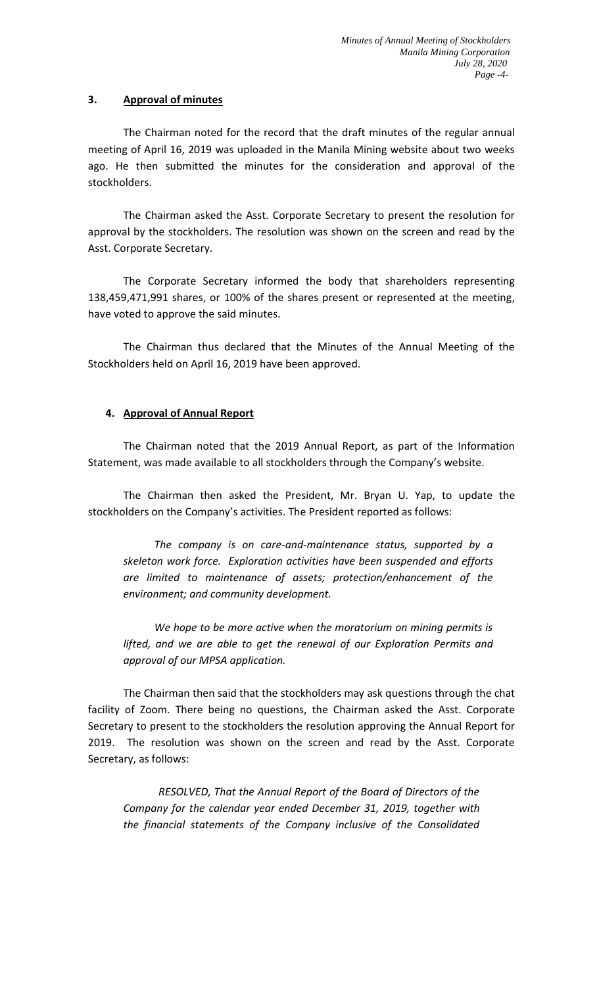# **3. Approval of minutes**

The Chairman noted for the record that the draft minutes of the regular annual meeting of April 16, 2019 was uploaded in the Manila Mining website about two weeks ago. He then submitted the minutes for the consideration and approval of the stockholders.

The Chairman asked the Asst. Corporate Secretary to present the resolution for approval by the stockholders. The resolution was shown on the screen and read by the Asst. Corporate Secretary.

The Corporate Secretary informed the body that shareholders representing 138,459,471,991 shares, or 100% of the shares present or represented at the meeting, have voted to approve the said minutes.

The Chairman thus declared that the Minutes of the Annual Meeting of the Stockholders held on April 16, 2019 have been approved.

# **4. Approval of Annual Report**

The Chairman noted that the 2019 Annual Report, as part of the Information Statement, was made available to all stockholders through the Company's website.

The Chairman then asked the President, Mr. Bryan U. Yap, to update the stockholders on the Company's activities. The President reported as follows:

*The company is on care-and-maintenance status, supported by a skeleton work force. Exploration activities have been suspended and efforts are limited to maintenance of assets; protection/enhancement of the environment; and community development.*

*We hope to be more active when the moratorium on mining permits is lifted, and we are able to get the renewal of our Exploration Permits and approval of our MPSA application.*

The Chairman then said that the stockholders may ask questions through the chat facility of Zoom. There being no questions, the Chairman asked the Asst. Corporate Secretary to present to the stockholders the resolution approving the Annual Report for 2019. The resolution was shown on the screen and read by the Asst. Corporate Secretary, as follows:

*RESOLVED, That the Annual Report of the Board of Directors of the Company for the calendar year ended December 31, 2019, together with the financial statements of the Company inclusive of the Consolidated*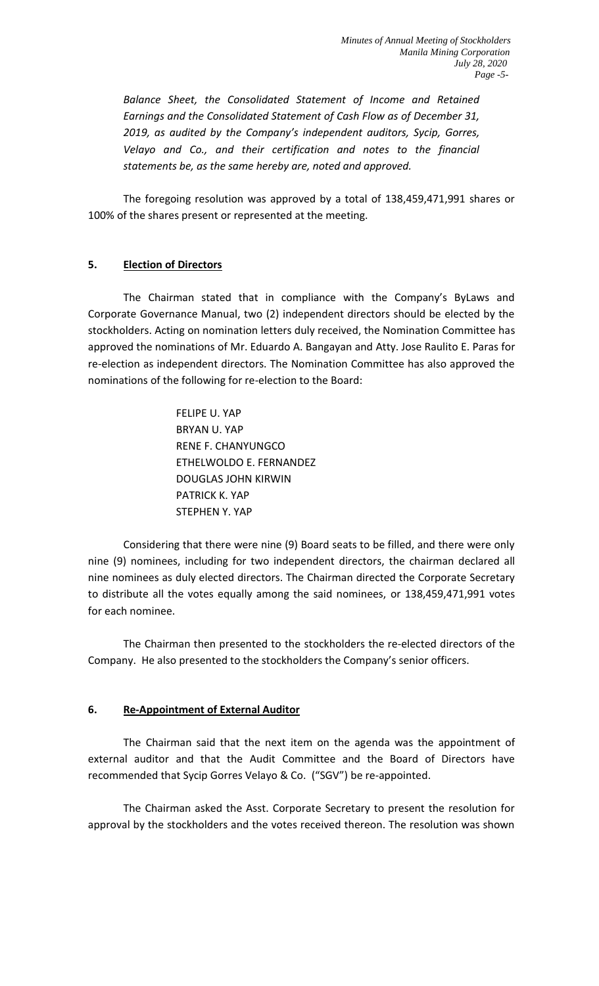*Balance Sheet, the Consolidated Statement of Income and Retained Earnings and the Consolidated Statement of Cash Flow as of December 31, 2019, as audited by the Company's independent auditors, Sycip, Gorres, Velayo and Co., and their certification and notes to the financial statements be, as the same hereby are, noted and approved.*

The foregoing resolution was approved by a total of 138,459,471,991 shares or 100% of the shares present or represented at the meeting.

# **5. Election of Directors**

The Chairman stated that in compliance with the Company's ByLaws and Corporate Governance Manual, two (2) independent directors should be elected by the stockholders. Acting on nomination letters duly received, the Nomination Committee has approved the nominations of Mr. Eduardo A. Bangayan and Atty. Jose Raulito E. Paras for re-election as independent directors. The Nomination Committee has also approved the nominations of the following for re-election to the Board:

> FELIPE U. YAP BRYAN U. YAP RENE F. CHANYUNGCO ETHELWOLDO E. FERNANDEZ DOUGLAS JOHN KIRWIN PATRICK K. YAP STEPHEN Y. YAP

Considering that there were nine (9) Board seats to be filled, and there were only nine (9) nominees, including for two independent directors, the chairman declared all nine nominees as duly elected directors. The Chairman directed the Corporate Secretary to distribute all the votes equally among the said nominees, or 138,459,471,991 votes for each nominee.

The Chairman then presented to the stockholders the re-elected directors of the Company. He also presented to the stockholders the Company's senior officers.

# **6. Re-Appointment of External Auditor**

The Chairman said that the next item on the agenda was the appointment of external auditor and that the Audit Committee and the Board of Directors have recommended that Sycip Gorres Velayo & Co. ("SGV") be re-appointed.

The Chairman asked the Asst. Corporate Secretary to present the resolution for approval by the stockholders and the votes received thereon. The resolution was shown